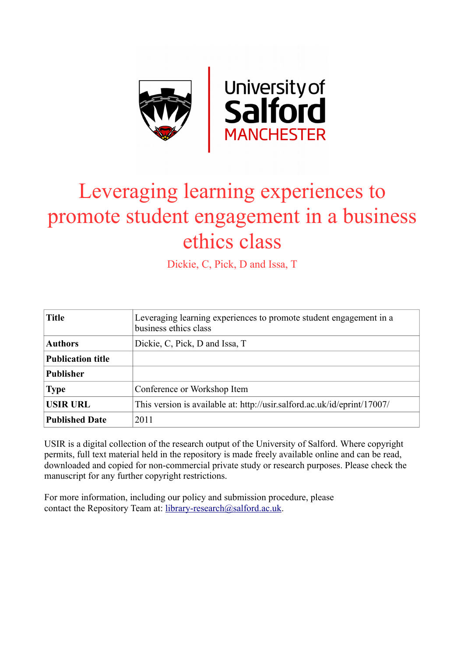

# Leveraging learning experiences to promote student engagement in a business ethics class

Dickie, C, Pick, D and Issa, T

| <b>Title</b>             | Leveraging learning experiences to promote student engagement in a<br>business ethics class |
|--------------------------|---------------------------------------------------------------------------------------------|
| <b>Authors</b>           | Dickie, C, Pick, D and Issa, T                                                              |
| <b>Publication title</b> |                                                                                             |
| <b>Publisher</b>         |                                                                                             |
| <b>Type</b>              | Conference or Workshop Item                                                                 |
| <b>USIR URL</b>          | This version is available at: http://usir.salford.ac.uk/id/eprint/17007/                    |
| <b>Published Date</b>    | 2011                                                                                        |

USIR is a digital collection of the research output of the University of Salford. Where copyright permits, full text material held in the repository is made freely available online and can be read, downloaded and copied for non-commercial private study or research purposes. Please check the manuscript for any further copyright restrictions.

For more information, including our policy and submission procedure, please contact the Repository Team at: [library-research@salford.ac.uk.](mailto:library-research@salford.ac.uk)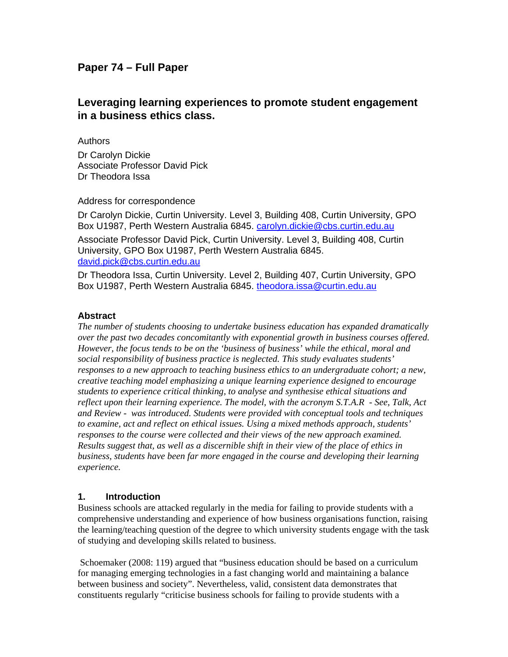## **Paper 74 – Full Paper**

# **Leveraging learning experiences to promote student engagement in a business ethics class.**

Authors Dr Carolyn Dickie Associate Professor David Pick Dr Theodora Issa

#### Address for correspondence

Dr Carolyn Dickie, Curtin University. Level 3, Building 408, Curtin University, GPO Box U1987, Perth Western Australia 6845. carolyn.dickie@cbs.curtin.edu.au

Associate Professor David Pick, Curtin University. Level 3, Building 408, Curtin University, GPO Box U1987, Perth Western Australia 6845. david.pick@cbs.curtin.edu.au

Dr Theodora Issa, Curtin University. Level 2, Building 407, Curtin University, GPO Box U1987, Perth Western Australia 6845. theodora.issa@curtin.edu.au

#### **Abstract**

*The number of students choosing to undertake business education has expanded dramatically over the past two decades concomitantly with exponential growth in business courses offered. However, the focus tends to be on the 'business of business' while the ethical, moral and social responsibility of business practice is neglected. This study evaluates students' responses to a new approach to teaching business ethics to an undergraduate cohort; a new, creative teaching model emphasizing a unique learning experience designed to encourage students to experience critical thinking, to analyse and synthesise ethical situations and reflect upon their learning experience. The model, with the acronym S.T.A.R - See, Talk, Act and Review - was introduced. Students were provided with conceptual tools and techniques to examine, act and reflect on ethical issues. Using a mixed methods approach, students' responses to the course were collected and their views of the new approach examined. Results suggest that, as well as a discernible shift in their view of the place of ethics in business, students have been far more engaged in the course and developing their learning experience.* 

#### **1. Introduction**

Business schools are attacked regularly in the media for failing to provide students with a comprehensive understanding and experience of how business organisations function, raising the learning/teaching question of the degree to which university students engage with the task of studying and developing skills related to business.

 Schoemaker (2008: 119) argued that "business education should be based on a curriculum for managing emerging technologies in a fast changing world and maintaining a balance between business and society". Nevertheless, valid, consistent data demonstrates that constituents regularly "criticise business schools for failing to provide students with a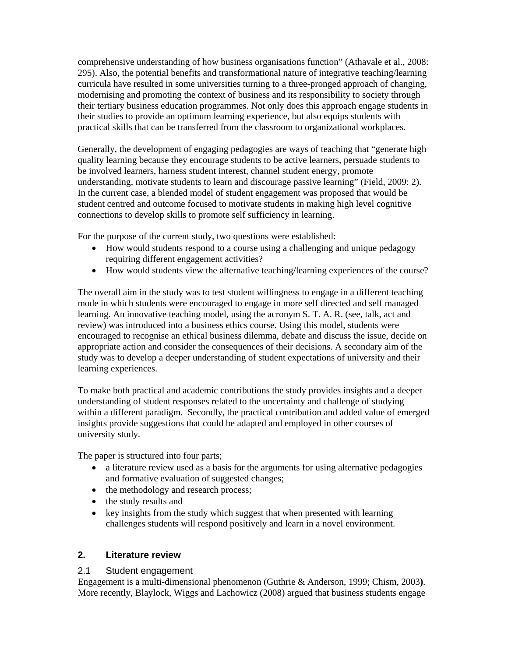comprehensive understanding of how business organisations function" (Athavale et al., 2008: 295). Also, the potential benefits and transformational nature of integrative teaching/learning curricula have resulted in some universities turning to a three-pronged approach of changing, modernising and promoting the context of business and its responsibility to society through their tertiary business education programmes. Not only does this approach engage students in their studies to provide an optimum learning experience, but also equips students with practical skills that can be transferred from the classroom to organizational workplaces.

Generally, the development of engaging pedagogies are ways of teaching that "generate high quality learning because they encourage students to be active learners, persuade students to be involved learners, harness student interest, channel student energy, promote understanding, motivate students to learn and discourage passive learning" (Field, 2009: 2). In the current case, a blended model of student engagement was proposed that would be student centred and outcome focused to motivate students in making high level cognitive connections to develop skills to promote self sufficiency in learning.

For the purpose of the current study, two questions were established:

- How would students respond to a course using a challenging and unique pedagogy requiring different engagement activities?
- How would students view the alternative teaching/learning experiences of the course?

The overall aim in the study was to test student willingness to engage in a different teaching mode in which students were encouraged to engage in more self directed and self managed learning. An innovative teaching model, using the acronym S. T. A. R. (see, talk, act and review) was introduced into a business ethics course. Using this model, students were encouraged to recognise an ethical business dilemma, debate and discuss the issue, decide on appropriate action and consider the consequences of their decisions. A secondary aim of the study was to develop a deeper understanding of student expectations of university and their learning experiences.

To make both practical and academic contributions the study provides insights and a deeper understanding of student responses related to the uncertainty and challenge of studying within a different paradigm. Secondly, the practical contribution and added value of emerged insights provide suggestions that could be adapted and employed in other courses of university study.

The paper is structured into four parts;

- a literature review used as a basis for the arguments for using alternative pedagogies and formative evaluation of suggested changes;
- the methodology and research process;
- the study results and
- key insights from the study which suggest that when presented with learning challenges students will respond positively and learn in a novel environment.

#### **2. Literature review**

#### 2.1 Student engagement

Engagement is a multi-dimensional phenomenon (Guthrie & Anderson, 1999; Chism, 2003**)**. More recently, Blaylock, Wiggs and Lachowicz (2008) argued that business students engage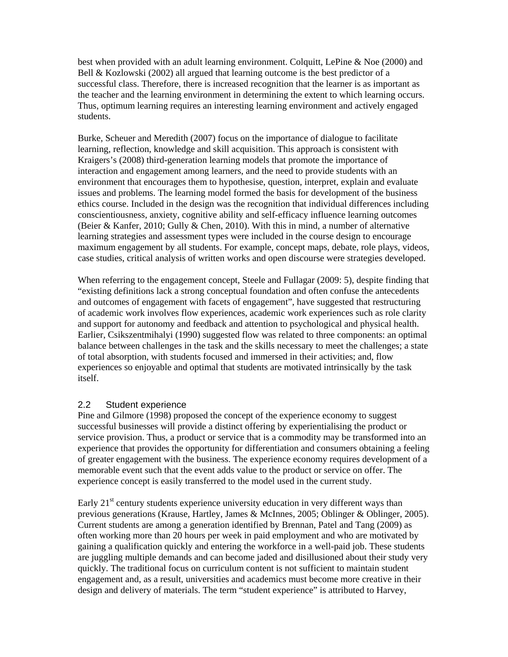best when provided with an adult learning environment. Colquitt, LePine & Noe (2000) and Bell & Kozlowski (2002) all argued that learning outcome is the best predictor of a successful class. Therefore, there is increased recognition that the learner is as important as the teacher and the learning environment in determining the extent to which learning occurs. Thus, optimum learning requires an interesting learning environment and actively engaged students.

Burke, Scheuer and Meredith (2007) focus on the importance of dialogue to facilitate learning, reflection, knowledge and skill acquisition. This approach is consistent with Kraigers's (2008) third-generation learning models that promote the importance of interaction and engagement among learners, and the need to provide students with an environment that encourages them to hypothesise, question, interpret, explain and evaluate issues and problems. The learning model formed the basis for development of the business ethics course. Included in the design was the recognition that individual differences including conscientiousness, anxiety, cognitive ability and self-efficacy influence learning outcomes (Beier & Kanfer, 2010; Gully & Chen, 2010). With this in mind, a number of alternative learning strategies and assessment types were included in the course design to encourage maximum engagement by all students. For example, concept maps, debate, role plays, videos, case studies, critical analysis of written works and open discourse were strategies developed.

When referring to the engagement concept, Steele and Fullagar (2009: 5), despite finding that "existing definitions lack a strong conceptual foundation and often confuse the antecedents and outcomes of engagement with facets of engagement", have suggested that restructuring of academic work involves flow experiences, academic work experiences such as role clarity and support for autonomy and feedback and attention to psychological and physical health. Earlier, Csikszentmihalyi (1990) suggested flow was related to three components: an optimal balance between challenges in the task and the skills necessary to meet the challenges; a state of total absorption, with students focused and immersed in their activities; and, flow experiences so enjoyable and optimal that students are motivated intrinsically by the task itself.

#### 2.2 Student experience

Pine and Gilmore (1998) proposed the concept of the experience economy to suggest successful businesses will provide a distinct offering by experientialising the product or service provision. Thus, a product or service that is a commodity may be transformed into an experience that provides the opportunity for differentiation and consumers obtaining a feeling of greater engagement with the business. The experience economy requires development of a memorable event such that the event adds value to the product or service on offer. The experience concept is easily transferred to the model used in the current study.

Early  $21<sup>st</sup>$  century students experience university education in very different ways than previous generations (Krause, Hartley, James & McInnes, 2005; Oblinger & Oblinger, 2005). Current students are among a generation identified by Brennan, Patel and Tang (2009) as often working more than 20 hours per week in paid employment and who are motivated by gaining a qualification quickly and entering the workforce in a well-paid job. These students are juggling multiple demands and can become jaded and disillusioned about their study very quickly. The traditional focus on curriculum content is not sufficient to maintain student engagement and, as a result, universities and academics must become more creative in their design and delivery of materials. The term "student experience" is attributed to Harvey,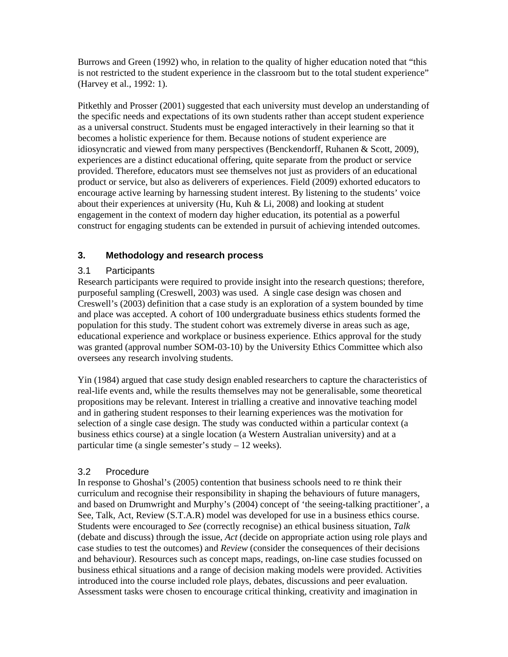Burrows and Green (1992) who, in relation to the quality of higher education noted that "this is not restricted to the student experience in the classroom but to the total student experience" (Harvey et al., 1992: 1).

Pitkethly and Prosser (2001) suggested that each university must develop an understanding of the specific needs and expectations of its own students rather than accept student experience as a universal construct. Students must be engaged interactively in their learning so that it becomes a holistic experience for them. Because notions of student experience are idiosyncratic and viewed from many perspectives (Benckendorff, Ruhanen & Scott, 2009), experiences are a distinct educational offering, quite separate from the product or service provided. Therefore, educators must see themselves not just as providers of an educational product or service, but also as deliverers of experiences. Field (2009) exhorted educators to encourage active learning by harnessing student interest. By listening to the students' voice about their experiences at university (Hu, Kuh  $&$  Li, 2008) and looking at student engagement in the context of modern day higher education, its potential as a powerful construct for engaging students can be extended in pursuit of achieving intended outcomes.

## **3. Methodology and research process**

#### 3.1 Participants

Research participants were required to provide insight into the research questions; therefore, purposeful sampling (Creswell, 2003) was used. A single case design was chosen and Creswell's (2003) definition that a case study is an exploration of a system bounded by time and place was accepted. A cohort of 100 undergraduate business ethics students formed the population for this study. The student cohort was extremely diverse in areas such as age, educational experience and workplace or business experience. Ethics approval for the study was granted (approval number SOM-03-10) by the University Ethics Committee which also oversees any research involving students.

Yin (1984) argued that case study design enabled researchers to capture the characteristics of real-life events and, while the results themselves may not be generalisable, some theoretical propositions may be relevant. Interest in trialling a creative and innovative teaching model and in gathering student responses to their learning experiences was the motivation for selection of a single case design. The study was conducted within a particular context (a business ethics course) at a single location (a Western Australian university) and at a particular time (a single semester's study – 12 weeks).

#### 3.2 Procedure

In response to Ghoshal's (2005) contention that business schools need to re think their curriculum and recognise their responsibility in shaping the behaviours of future managers, and based on Drumwright and Murphy's (2004) concept of 'the seeing-talking practitioner', a See, Talk, Act, Review (S.T.A.R) model was developed for use in a business ethics course. Students were encouraged to *See* (correctly recognise) an ethical business situation, *Talk* (debate and discuss) through the issue, *Act* (decide on appropriate action using role plays and case studies to test the outcomes) and *Review* (consider the consequences of their decisions and behaviour). Resources such as concept maps, readings, on-line case studies focussed on business ethical situations and a range of decision making models were provided. Activities introduced into the course included role plays, debates, discussions and peer evaluation. Assessment tasks were chosen to encourage critical thinking, creativity and imagination in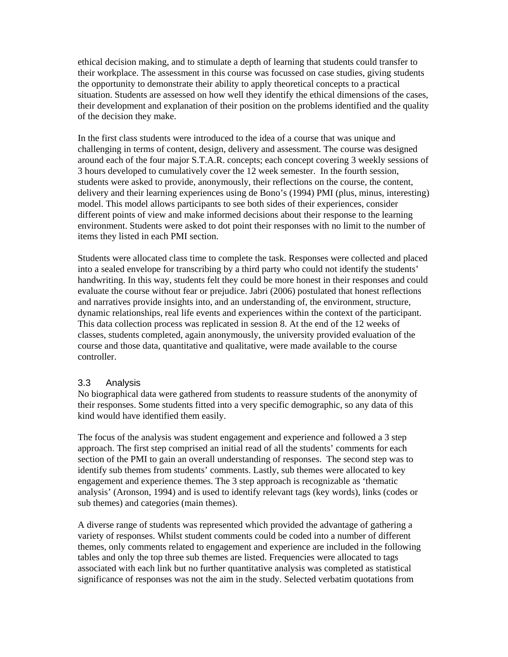ethical decision making, and to stimulate a depth of learning that students could transfer to their workplace. The assessment in this course was focussed on case studies, giving students the opportunity to demonstrate their ability to apply theoretical concepts to a practical situation. Students are assessed on how well they identify the ethical dimensions of the cases, their development and explanation of their position on the problems identified and the quality of the decision they make.

In the first class students were introduced to the idea of a course that was unique and challenging in terms of content, design, delivery and assessment. The course was designed around each of the four major S.T.A.R. concepts; each concept covering 3 weekly sessions of 3 hours developed to cumulatively cover the 12 week semester. In the fourth session, students were asked to provide, anonymously, their reflections on the course, the content, delivery and their learning experiences using de Bono's (1994) PMI (plus, minus, interesting) model. This model allows participants to see both sides of their experiences, consider different points of view and make informed decisions about their response to the learning environment. Students were asked to dot point their responses with no limit to the number of items they listed in each PMI section.

Students were allocated class time to complete the task. Responses were collected and placed into a sealed envelope for transcribing by a third party who could not identify the students' handwriting. In this way, students felt they could be more honest in their responses and could evaluate the course without fear or prejudice. Jabri (2006) postulated that honest reflections and narratives provide insights into, and an understanding of, the environment, structure, dynamic relationships, real life events and experiences within the context of the participant. This data collection process was replicated in session 8. At the end of the 12 weeks of classes, students completed, again anonymously, the university provided evaluation of the course and those data, quantitative and qualitative, were made available to the course controller.

#### 3.3 Analysis

No biographical data were gathered from students to reassure students of the anonymity of their responses. Some students fitted into a very specific demographic, so any data of this kind would have identified them easily.

The focus of the analysis was student engagement and experience and followed a 3 step approach. The first step comprised an initial read of all the students' comments for each section of the PMI to gain an overall understanding of responses. The second step was to identify sub themes from students' comments. Lastly, sub themes were allocated to key engagement and experience themes. The 3 step approach is recognizable as 'thematic analysis' (Aronson, 1994) and is used to identify relevant tags (key words), links (codes or sub themes) and categories (main themes).

A diverse range of students was represented which provided the advantage of gathering a variety of responses. Whilst student comments could be coded into a number of different themes, only comments related to engagement and experience are included in the following tables and only the top three sub themes are listed. Frequencies were allocated to tags associated with each link but no further quantitative analysis was completed as statistical significance of responses was not the aim in the study. Selected verbatim quotations from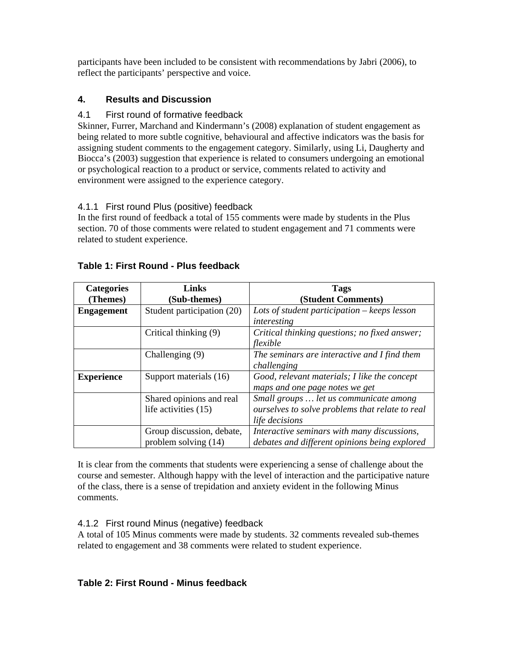participants have been included to be consistent with recommendations by Jabri (2006), to reflect the participants' perspective and voice.

## **4. Results and Discussion**

## 4.1 First round of formative feedback

Skinner, Furrer, Marchand and Kindermann's (2008) explanation of student engagement as being related to more subtle cognitive, behavioural and affective indicators was the basis for assigning student comments to the engagement category. Similarly, using Li, Daugherty and Biocca's (2003) suggestion that experience is related to consumers undergoing an emotional or psychological reaction to a product or service, comments related to activity and environment were assigned to the experience category.

## 4.1.1 First round Plus (positive) feedback

In the first round of feedback a total of 155 comments were made by students in the Plus section. 70 of those comments were related to student engagement and 71 comments were related to student experience.

| <b>Categories</b> | Links                      | <b>Tags</b>                                     |
|-------------------|----------------------------|-------------------------------------------------|
| (Themes)          | (Sub-themes)               | (Student Comments)                              |
| <b>Engagement</b> | Student participation (20) | Lots of student participation $-$ keeps lesson  |
|                   |                            | interesting                                     |
|                   | Critical thinking (9)      | Critical thinking questions; no fixed answer;   |
|                   |                            | flexible                                        |
|                   | Challenging (9)            | The seminars are interactive and I find them    |
|                   |                            | challenging                                     |
| <b>Experience</b> | Support materials (16)     | Good, relevant materials; I like the concept    |
|                   |                            | maps and one page notes we get                  |
|                   | Shared opinions and real   | Small groups  let us communicate among          |
|                   | life activities (15)       | ourselves to solve problems that relate to real |
|                   |                            | life decisions                                  |
|                   | Group discussion, debate,  | Interactive seminars with many discussions,     |
|                   | problem solving (14)       | debates and different opinions being explored   |

## **Table 1: First Round - Plus feedback**

It is clear from the comments that students were experiencing a sense of challenge about the course and semester. Although happy with the level of interaction and the participative nature of the class, there is a sense of trepidation and anxiety evident in the following Minus comments.

## 4.1.2 First round Minus (negative) feedback

A total of 105 Minus comments were made by students. 32 comments revealed sub-themes related to engagement and 38 comments were related to student experience.

## **Table 2: First Round - Minus feedback**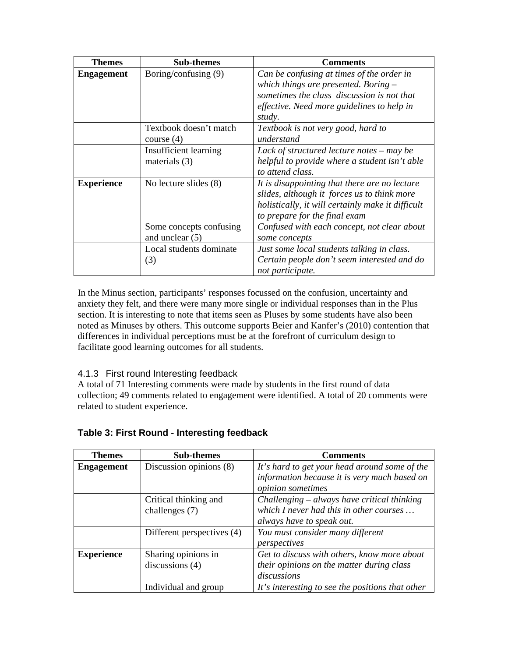| Themes            | <b>Sub-themes</b>            | <b>Comments</b>                                   |  |
|-------------------|------------------------------|---------------------------------------------------|--|
| <b>Engagement</b> | Boring/confusing (9)         | Can be confusing at times of the order in         |  |
|                   |                              | which things are presented. Boring $-$            |  |
|                   |                              | sometimes the class discussion is not that        |  |
|                   |                              | effective. Need more guidelines to help in        |  |
|                   |                              | study.                                            |  |
|                   | Textbook doesn't match       | Textbook is not very good, hard to                |  |
|                   | course $(4)$                 | understand                                        |  |
|                   | <b>Insufficient learning</b> | Lack of structured lecture notes $-$ may be       |  |
|                   | materials $(3)$              | helpful to provide where a student isn't able     |  |
|                   |                              | to attend class.                                  |  |
| <b>Experience</b> | No lecture slides (8)        | It is disappointing that there are no lecture     |  |
|                   |                              | slides, although it forces us to think more       |  |
|                   |                              | holistically, it will certainly make it difficult |  |
|                   |                              | to prepare for the final exam                     |  |
|                   | Some concepts confusing      | Confused with each concept, not clear about       |  |
|                   | and unclear $(5)$            | some concepts                                     |  |
|                   | Local students dominate      | Just some local students talking in class.        |  |
|                   | (3)                          | Certain people don't seem interested and do       |  |
|                   |                              | not participate.                                  |  |

In the Minus section, participants' responses focussed on the confusion, uncertainty and anxiety they felt, and there were many more single or individual responses than in the Plus section. It is interesting to note that items seen as Pluses by some students have also been noted as Minuses by others. This outcome supports Beier and Kanfer's (2010) contention that differences in individual perceptions must be at the forefront of curriculum design to facilitate good learning outcomes for all students.

## 4.1.3 First round Interesting feedback

A total of 71 Interesting comments were made by students in the first round of data collection; 49 comments related to engagement were identified. A total of 20 comments were related to student experience.

| <b>Themes</b>     | <b>Sub-themes</b>          | <b>Comments</b>                                  |  |
|-------------------|----------------------------|--------------------------------------------------|--|
| <b>Engagement</b> | Discussion opinions (8)    | It's hard to get your head around some of the    |  |
|                   |                            | information because it is very much based on     |  |
|                   |                            | opinion sometimes                                |  |
|                   | Critical thinking and      | Challenging – always have critical thinking      |  |
|                   | challenges (7)             | which I never had this in other courses          |  |
|                   |                            | always have to speak out.                        |  |
|                   | Different perspectives (4) | You must consider many different                 |  |
|                   |                            | perspectives                                     |  |
| <b>Experience</b> | Sharing opinions in        | Get to discuss with others, know more about      |  |
|                   | discussions $(4)$          | their opinions on the matter during class        |  |
|                   |                            | discussions                                      |  |
|                   | Individual and group       | It's interesting to see the positions that other |  |

#### **Table 3: First Round - Interesting feedback**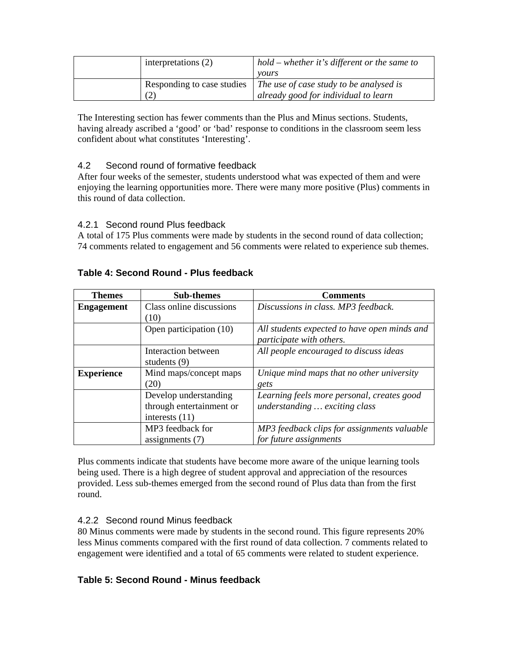| interpretations (2)        | $hold$ – whether it's different or the same to |
|----------------------------|------------------------------------------------|
|                            | <i>vours</i>                                   |
| Responding to case studies | The use of case study to be analysed is        |
|                            | already good for individual to learn           |

The Interesting section has fewer comments than the Plus and Minus sections. Students, having already ascribed a 'good' or 'bad' response to conditions in the classroom seem less confident about what constitutes 'Interesting'.

## 4.2 Second round of formative feedback

After four weeks of the semester, students understood what was expected of them and were enjoying the learning opportunities more. There were many more positive (Plus) comments in this round of data collection.

## 4.2.1 Second round Plus feedback

A total of 175 Plus comments were made by students in the second round of data collection; 74 comments related to engagement and 56 comments were related to experience sub themes.

| <b>Themes</b>     | <b>Sub-themes</b>        | <b>Comments</b>                              |
|-------------------|--------------------------|----------------------------------------------|
| <b>Engagement</b> | Class online discussions | Discussions in class. MP3 feedback.          |
|                   | (10)                     |                                              |
|                   | Open participation (10)  | All students expected to have open minds and |
|                   |                          | participate with others.                     |
|                   | Interaction between      | All people encouraged to discuss ideas       |
|                   | students $(9)$           |                                              |
| <b>Experience</b> | Mind maps/concept maps   | Unique mind maps that no other university    |
|                   | (20)                     | gets                                         |
|                   | Develop understanding    | Learning feels more personal, creates good   |
|                   | through entertainment or | understanding  exciting class                |
|                   | interests $(11)$         |                                              |
|                   | MP3 feedback for         | MP3 feedback clips for assignments valuable  |
|                   | assignments $(7)$        | for future assignments                       |

## **Table 4: Second Round - Plus feedback**

Plus comments indicate that students have become more aware of the unique learning tools being used. There is a high degree of student approval and appreciation of the resources provided. Less sub-themes emerged from the second round of Plus data than from the first round.

#### 4.2.2 Second round Minus feedback

80 Minus comments were made by students in the second round. This figure represents 20% less Minus comments compared with the first round of data collection. 7 comments related to engagement were identified and a total of 65 comments were related to student experience.

## **Table 5: Second Round - Minus feedback**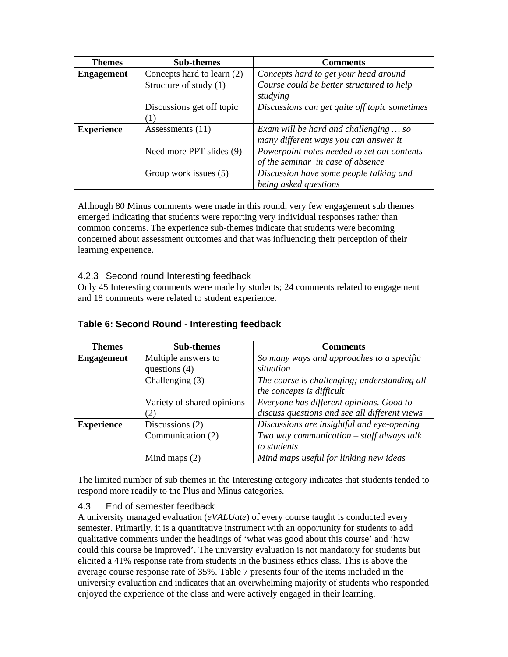| <b>Themes</b>     | <b>Sub-themes</b>          | <b>Comments</b>                               |  |
|-------------------|----------------------------|-----------------------------------------------|--|
| <b>Engagement</b> | Concepts hard to learn (2) | Concepts hard to get your head around         |  |
|                   | Structure of study (1)     | Course could be better structured to help     |  |
|                   |                            | studying                                      |  |
|                   | Discussions get off topic  | Discussions can get quite off topic sometimes |  |
|                   |                            |                                               |  |
| <b>Experience</b> | Assessments $(11)$         | Exam will be hard and challenging  so         |  |
|                   |                            | many different ways you can answer it         |  |
|                   | Need more PPT slides (9)   | Powerpoint notes needed to set out contents   |  |
|                   |                            | of the seminar in case of absence             |  |
|                   | Group work issues (5)      | Discussion have some people talking and       |  |
|                   |                            | being asked questions                         |  |

Although 80 Minus comments were made in this round, very few engagement sub themes emerged indicating that students were reporting very individual responses rather than common concerns. The experience sub-themes indicate that students were becoming concerned about assessment outcomes and that was influencing their perception of their learning experience.

#### 4.2.3 Second round Interesting feedback

Only 45 Interesting comments were made by students; 24 comments related to engagement and 18 comments were related to student experience.

| <b>Themes</b>     | <b>Sub-themes</b>          | <b>Comments</b>                               |  |
|-------------------|----------------------------|-----------------------------------------------|--|
| <b>Engagement</b> | Multiple answers to        | So many ways and approaches to a specific     |  |
|                   | questions $(4)$            | situation                                     |  |
|                   | Challenging $(3)$          | The course is challenging; understanding all  |  |
|                   |                            | the concepts is difficult                     |  |
|                   | Variety of shared opinions | Everyone has different opinions. Good to      |  |
|                   | (2)                        | discuss questions and see all different views |  |
| <b>Experience</b> | Discussions $(2)$          | Discussions are insightful and eye-opening    |  |
|                   | Communication (2)          | Two way communication $-$ staff always talk   |  |
|                   |                            | to students                                   |  |
|                   | Mind maps $(2)$            | Mind maps useful for linking new ideas        |  |

#### **Table 6: Second Round - Interesting feedback**

The limited number of sub themes in the Interesting category indicates that students tended to respond more readily to the Plus and Minus categories.

#### 4.3 End of semester feedback

A university managed evaluation (*eVALUate*) of every course taught is conducted every semester. Primarily, it is a quantitative instrument with an opportunity for students to add qualitative comments under the headings of 'what was good about this course' and 'how could this course be improved'. The university evaluation is not mandatory for students but elicited a 41% response rate from students in the business ethics class. This is above the average course response rate of 35%. Table 7 presents four of the items included in the university evaluation and indicates that an overwhelming majority of students who responded enjoyed the experience of the class and were actively engaged in their learning.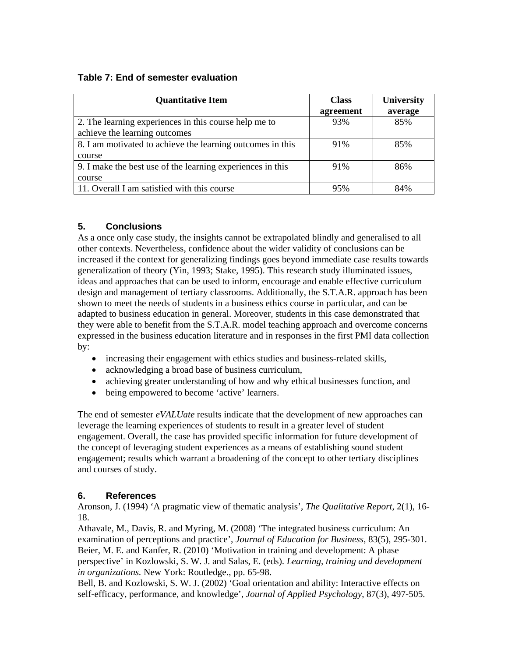## **Table 7: End of semester evaluation**

| <b>Quantitative Item</b>                                   | <b>Class</b> | <b>University</b> |
|------------------------------------------------------------|--------------|-------------------|
|                                                            | agreement    | average           |
| 2. The learning experiences in this course help me to      | 93%          | 85%               |
| achieve the learning outcomes                              |              |                   |
| 8. I am motivated to achieve the learning outcomes in this | 91%          | 85%               |
| course                                                     |              |                   |
| 9. I make the best use of the learning experiences in this | 91%          | 86%               |
| course                                                     |              |                   |
| 11. Overall I am satisfied with this course                | 95%          | 84%               |

## **5. Conclusions**

As a once only case study, the insights cannot be extrapolated blindly and generalised to all other contexts. Nevertheless, confidence about the wider validity of conclusions can be increased if the context for generalizing findings goes beyond immediate case results towards generalization of theory (Yin, 1993; Stake, 1995). This research study illuminated issues, ideas and approaches that can be used to inform, encourage and enable effective curriculum design and management of tertiary classrooms. Additionally, the S.T.A.R. approach has been shown to meet the needs of students in a business ethics course in particular, and can be adapted to business education in general. Moreover, students in this case demonstrated that they were able to benefit from the S.T.A.R. model teaching approach and overcome concerns expressed in the business education literature and in responses in the first PMI data collection by:

- increasing their engagement with ethics studies and business-related skills,
- acknowledging a broad base of business curriculum,
- achieving greater understanding of how and why ethical businesses function, and
- being empowered to become 'active' learners.

The end of semester *eVALUate* results indicate that the development of new approaches can leverage the learning experiences of students to result in a greater level of student engagement. Overall, the case has provided specific information for future development of the concept of leveraging student experiences as a means of establishing sound student engagement; results which warrant a broadening of the concept to other tertiary disciplines and courses of study.

## **6. References**

Aronson, J. (1994) 'A pragmatic view of thematic analysis', *The Qualitative Report*, 2(1), 16- 18.

Athavale, M., Davis, R. and Myring, M. (2008) 'The integrated business curriculum: An examination of perceptions and practice', *Journal of Education for Business*, 83(5), 295-301. Beier, M. E. and Kanfer, R. (2010) 'Motivation in training and development: A phase perspective' in Kozlowski, S. W. J. and Salas, E. (eds). *Learning, training and development in organizations.* New York: Routledge., pp. 65-98.

Bell, B. and Kozlowski, S. W. J. (2002) 'Goal orientation and ability: Interactive effects on self-efficacy, performance, and knowledge', *Journal of Applied Psychology*, 87(3), 497-505.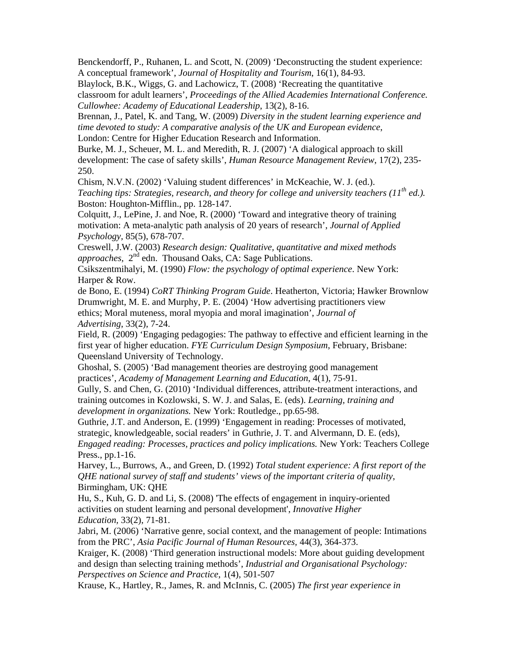Benckendorff, P., Ruhanen, L. and Scott, N. (2009) 'Deconstructing the student experience: A conceptual framework', *Journal of Hospitality and Tourism*, 16(1), 84-93.

Blaylock, B.K., Wiggs, G. and Lachowicz, T. (2008) 'Recreating the quantitative classroom for adult learners', *Proceedings of the Allied Academies International Conference. Cullowhee: Academy of Educational Leadership*, 13(2), 8-16.

Brennan, J., Patel, K. and Tang, W. (2009) *Diversity in the student learning experience and time devoted to study: A comparative analysis of the UK and European evidence*, London: Centre for Higher Education Research and Information.

Burke, M. J., Scheuer, M. L. and Meredith, R. J. (2007) 'A dialogical approach to skill development: The case of safety skills', *Human Resource Management Review*, 17(2), 235- 250.

Chism, N.V.N. (2002) 'Valuing student differences' in McKeachie, W. J. (ed.).

*Teaching tips: Strategies, research, and theory for college and university teachers (11th ed.).*  Boston: Houghton-Mifflin., pp. 128-147.

Colquitt, J., LePine, J. and Noe, R. (2000) 'Toward and integrative theory of training motivation: A meta-analytic path analysis of 20 years of research', *Journal of Applied Psychology,* 85(5), 678-707.

Creswell, J.W. (2003) *Research design: Qualitative, quantitative and mixed methods approaches,*  $2^{nd}$  edn. Thousand Oaks, CA: Sage Publications.

Csikszentmihalyi, M. (1990) *Flow: the psychology of optimal experience*. New York: Harper & Row.

de Bono, E. (1994) *CoRT Thinking Program Guide*. Heatherton, Victoria; Hawker Brownlow Drumwright, M. E. and Murphy, P. E. (2004) 'How advertising practitioners view ethics; Moral muteness, moral myopia and moral imagination', *Journal of Advertising*, 33(2), 7-24.

Field, R. (2009) 'Engaging pedagogies: The pathway to effective and efficient learning in the first year of higher education. *FYE Curriculum Design Symposium*, February, Brisbane: Queensland University of Technology.

Ghoshal, S. (2005) 'Bad management theories are destroying good management practices', *Academy of Management Learning and Education*, 4(1), 75-91.

Gully, S. and Chen, G. (2010) 'Individual differences, attribute-treatment interactions, and training outcomes in Kozlowski, S. W. J. and Salas, E. (eds). *Learning, training and development in organizations.* New York: Routledge., pp.65-98.

Guthrie, J.T. and Anderson, E. (1999) 'Engagement in reading: Processes of motivated, strategic, knowledgeable, social readers' in Guthrie, J. T. and Alvermann, D. E. (eds), *Engaged reading: Processes, practices and policy implications.* New York: Teachers College Press., pp.1-16.

Harvey, L., Burrows, A., and Green, D. (1992) *Total student experience: A first report of the QHE national survey of staff and students' views of the important criteria of quality*, Birmingham, UK: QHE

Hu, S., Kuh, G. D. and Li, S. (2008) 'The effects of engagement in inquiry-oriented activities on student learning and personal development', *Innovative Higher Education,* 33(2), 71-81.

Jabri, M. (2006) 'Narrative genre, social context, and the management of people: Intimations from the PRC', *Asia Pacific Journal of Human Resources,* 44(3), 364-373.

Kraiger, K. (2008) 'Third generation instructional models: More about guiding development and design than selecting training methods', *Industrial and Organisational Psychology: Perspectives on Science and Practice*, 1(4), 501-507

Krause, K., Hartley, R., James, R. and McInnis, C. (2005) *The first year experience in*